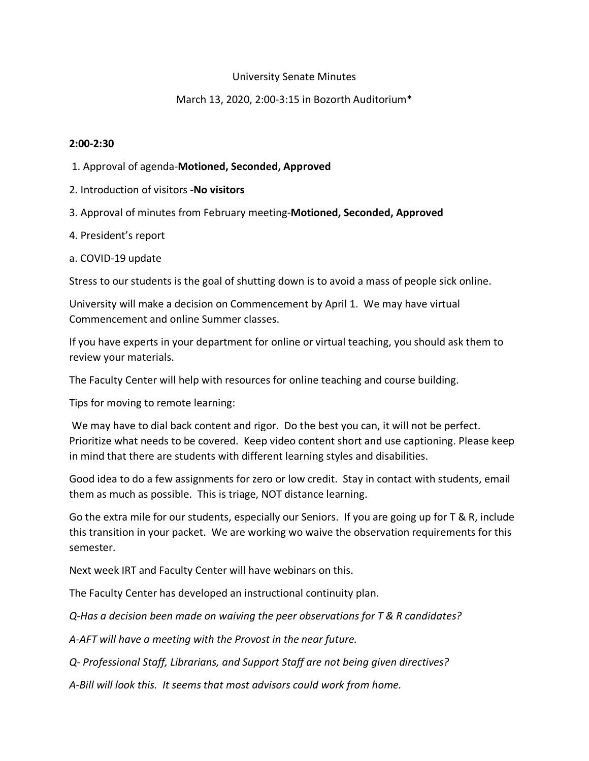## University Senate Minutes

## March 13, 2020, 2:00-3:15 in Bozorth Auditorium\*

### **2:00-2:30**

- 1. Approval of agenda-**Motioned, Seconded, Approved**
- 2. Introduction of visitors -**No visitors**
- 3. Approval of minutes from February meeting-**Motioned, Seconded, Approved**
- 4. President's report
- a. COVID-19 update

Stress to our students is the goal of shutting down is to avoid a mass of people sick online.

University will make a decision on Commencement by April 1. We may have virtual Commencement and online Summer classes.

If you have experts in your department for online or virtual teaching, you should ask them to review your materials.

The Faculty Center will help with resources for online teaching and course building.

Tips for moving to remote learning:

We may have to dial back content and rigor. Do the best you can, it will not be perfect. Prioritize what needs to be covered. Keep video content short and use captioning. Please keep in mind that there are students with different learning styles and disabilities.

Good idea to do a few assignments for zero or low credit. Stay in contact with students, email them as much as possible. This is triage, NOT distance learning.

Go the extra mile for our students, especially our Seniors. If you are going up for T & R, include this transition in your packet. We are working wo waive the observation requirements for this semester.

Next week IRT and Faculty Center will have webinars on this.

The Faculty Center has developed an instructional continuity plan.

*Q-Has a decision been made on waiving the peer observations for T & R candidates?*

*A-AFT will have a meeting with the Provost in the near future.*

*Q- Professional Staff, Librarians, and Support Staff are not being given directives?*

*A-Bill will look this. It seems that most advisors could work from home.*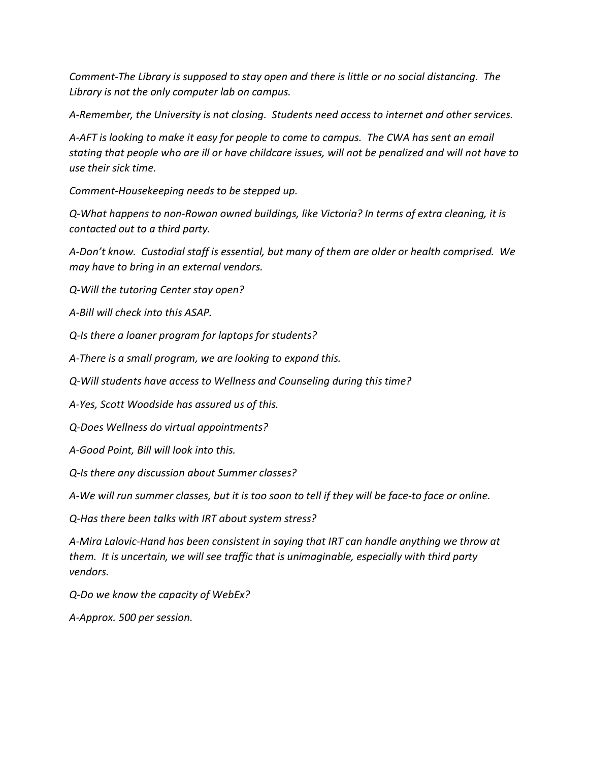*Comment-The Library is supposed to stay open and there is little or no social distancing. The Library is not the only computer lab on campus.*

*A-Remember, the University is not closing. Students need access to internet and other services.*

*A-AFT is looking to make it easy for people to come to campus. The CWA has sent an email stating that people who are ill or have childcare issues, will not be penalized and will not have to use their sick time.* 

*Comment-Housekeeping needs to be stepped up.*

*Q-What happens to non-Rowan owned buildings, like Victoria? In terms of extra cleaning, it is contacted out to a third party.*

*A-Don't know. Custodial staff is essential, but many of them are older or health comprised. We may have to bring in an external vendors.* 

*Q-Will the tutoring Center stay open?*

*A-Bill will check into this ASAP.*

*Q-Is there a loaner program for laptops for students?*

*A-There is a small program, we are looking to expand this.* 

*Q-Will students have access to Wellness and Counseling during this time?*

*A-Yes, Scott Woodside has assured us of this.*

*Q-Does Wellness do virtual appointments?*

*A-Good Point, Bill will look into this.*

*Q-Is there any discussion about Summer classes?*

*A-We will run summer classes, but it is too soon to tell if they will be face-to face or online.*

*Q-Has there been talks with IRT about system stress?*

*A-Mira Lalovic-Hand has been consistent in saying that IRT can handle anything we throw at them. It is uncertain, we will see traffic that is unimaginable, especially with third party vendors.*

*Q-Do we know the capacity of WebEx?*

*A-Approx. 500 per session.*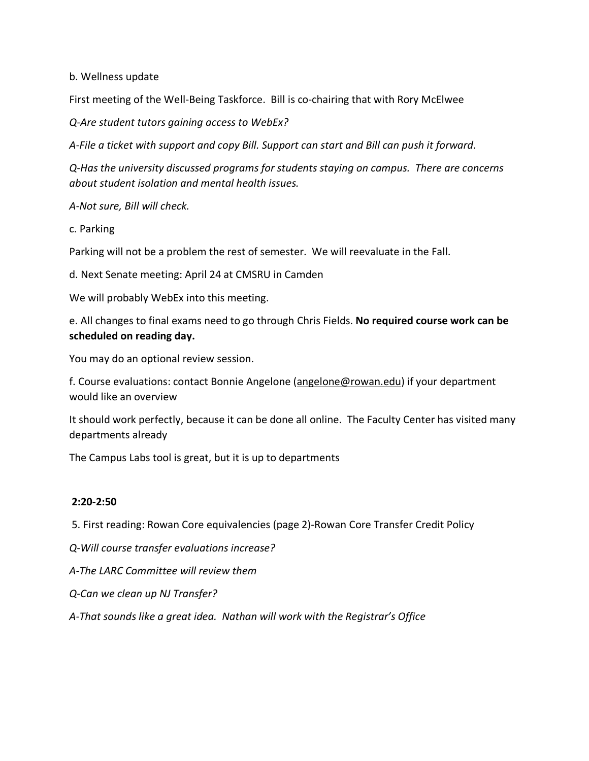b. Wellness update

First meeting of the Well-Being Taskforce. Bill is co-chairing that with Rory McElwee

*Q-Are student tutors gaining access to WebEx?*

*A-File a ticket with support and copy Bill. Support can start and Bill can push it forward.*

*Q-Has the university discussed programs for students staying on campus. There are concerns about student isolation and mental health issues.* 

*A-Not sure, Bill will check.*

c. Parking

Parking will not be a problem the rest of semester. We will reevaluate in the Fall.

d. Next Senate meeting: April 24 at CMSRU in Camden

We will probably WebEx into this meeting.

e. All changes to final exams need to go through Chris Fields. **No required course work can be scheduled on reading day.** 

You may do an optional review session.

f. Course evaluations: contact Bonnie Angelone (angelone@rowan.edu) if your department would like an overview

It should work perfectly, because it can be done all online. The Faculty Center has visited many departments already

The Campus Labs tool is great, but it is up to departments

### **2:20-2:50**

5. First reading: Rowan Core equivalencies (page 2)-Rowan Core Transfer Credit Policy

*Q-Will course transfer evaluations increase?*

*A-The LARC Committee will review them*

*Q-Can we clean up NJ Transfer?*

*A-That sounds like a great idea. Nathan will work with the Registrar's Office*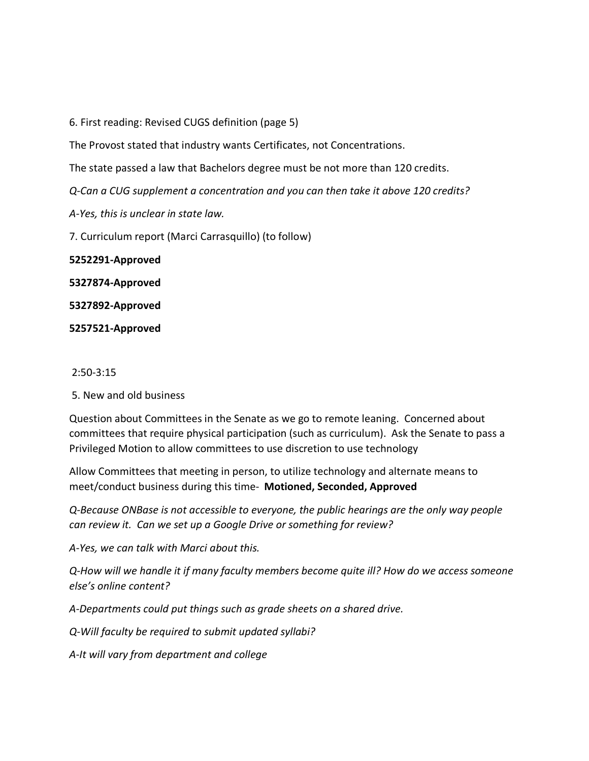6. First reading: Revised CUGS definition (page 5)

The Provost stated that industry wants Certificates, not Concentrations.

The state passed a law that Bachelors degree must be not more than 120 credits.

*Q-Can a CUG supplement a concentration and you can then take it above 120 credits?*

*A-Yes, this is unclear in state law.*

7. Curriculum report (Marci Carrasquillo) (to follow)

**5252291-Approved**

**5327874-Approved**

**5327892-Approved**

**5257521-Approved**

#### 2:50-3:15

5. New and old business

Question about Committees in the Senate as we go to remote leaning. Concerned about committees that require physical participation (such as curriculum). Ask the Senate to pass a Privileged Motion to allow committees to use discretion to use technology

Allow Committees that meeting in person, to utilize technology and alternate means to meet/conduct business during this time- **Motioned, Seconded, Approved**

*Q-Because ONBase is not accessible to everyone, the public hearings are the only way people can review it. Can we set up a Google Drive or something for review?*

*A-Yes, we can talk with Marci about this.*

*Q-How will we handle it if many faculty members become quite ill? How do we access someone else's online content?*

*A-Departments could put things such as grade sheets on a shared drive.* 

*Q-Will faculty be required to submit updated syllabi?*

*A-It will vary from department and college*